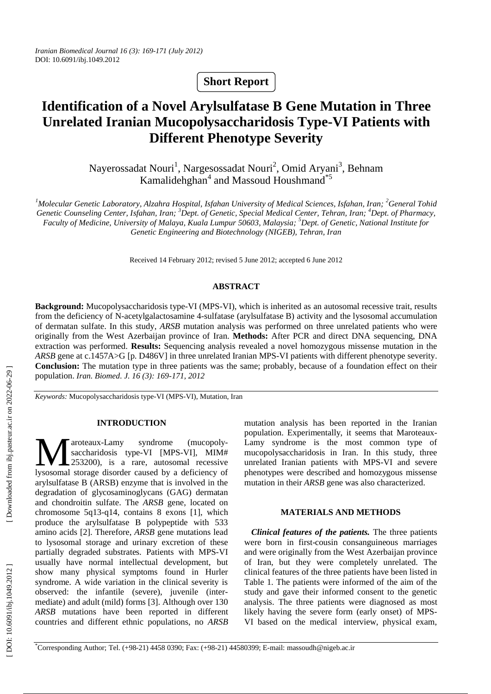# **Short Report**

# **Identification of a Novel Arylsulfatase B Gene Mutation in Three Unrelated Iranian Mucopolysaccharidosis Type-VI Patients with Different Phenotype Severity**

Nayerossadat Nouri<sup>1</sup>, Nargesossadat Nouri<sup>2</sup>, Omid Aryani<sup>3</sup>, Behnam Kamalidehghan <sup>4</sup> and Massoud Houshmand\*5

<sup>1</sup>Molecular Genetic Laboratory, Alzahra Hospital, Isfahan University of Medical Sciences, Isfahan, Iran; <sup>2</sup>General Tohid Genetic Counseling Center, Isfahan, Iran; <sup>3</sup>Dept. of Genetic, Special Medical Center, Tehran, Iran; <sup>4</sup>Dept. of Pharmacy, *Faculty of Medicine, University of Malaya, Kuala Lumpur 50603, Malaysia; 5 Dept. of Genetic, National Institute for Genetic Engineering and Biotechnology (NIGEB), Tehran, Iran*

Received 14 February 2012; revised 5 June 2012; accepted 6 June 2012

#### **ABSTRACT**

**Background:** Mucopolysaccharidosis type-VI (MPS-VI), which is inherited as an autosomal recessive trait, results from the deficiency of N-acetylgalactosamine 4-sulfatase (arylsulfatase B) activity and the lysosomal accumulation of dermatan sulfate. In this study, *ARSB* mutation analysis was performed on three unrelated patients who were originally from the West Azerbaijan province of Iran. **Methods:** After PCR and direct DNA sequencing, DNA extraction was performed. **Results:** Sequencing analysis revealed a novel homozygous missense mutation in the *ARSB* gene at c.1457A>G [p. D486V] in three unrelated Iranian MPS-VI patients with different phenotype severity. **Conclusion:** The mutation type in three patients was the same; probably, because of a foundation effect on their population. *Iran. Biomed. J. 16 (3): 169-171, 2012*

*Keywords:* Mucopolysaccharidosis type-VI (MPS-VI), Mutation, Iran

#### **INTRODUCTION**

aroteaux-Lamy syndrome (mucopolysaccharidosis type-VI [MPS-VI], MIM# 253200), is a rare, autosomal recessive Maroteaux-Lamy syndrome (mucopoly-<br>
saccharidosis type-VI [MPS-VI], MIM#<br>
1980 lysosomal storage disorder caused by a deficiency of arylsulfatase B (ARSB) enzyme that is involved in the degradation of glycosaminoglycans (GAG) dermatan and chondroitin sulfate. The *ARSB* gene, located on chromosome 5q13-q14, contains 8 exons [1], which produce the arylsulfatase B polypeptide with 533 amino acids [2]. Therefore, *ARSB* gene mutations lead to lysosomal storage and urinary excretion of these partially degraded substrates. Patients with MPS-VI usually have normal intellectual development, but show many physical symptoms found in Hurler syndrome. A wide variation in the clinical severity is observed: the infantile (severe), juvenile (intermediate) and adult (mild) forms [3]. Although over 130 *ARSB* mutations have been reported in different countries and different ethnic populations, no *ARSB* 

mutation analysis has been reported in the Iranian population. Experimentally, it seems that Maroteaux-Lamy syndrome is the most common type of mucopolysaccharidosis in Iran. In this study, three unrelated Iranian patients with MPS-VI and severe phenotypes were described and homozygous missense mutation in their *ARSB* gene was also characterized.

## **MATERIALS AND METHODS**

*Clinical features of the patients.* The three patients were born in first-cousin consanguineous marriages and were originally from the West Azerbaijan province of Iran, but they were completely unrelated. The clinical features of the three patients have been listed in Table 1. The patients were informed of the aim of the study and gave their informed consent to the genetic analysis. The three patients were diagnosed as most likely having the severe form (early onset) of MPS-VI based on the medical interview, physical exam,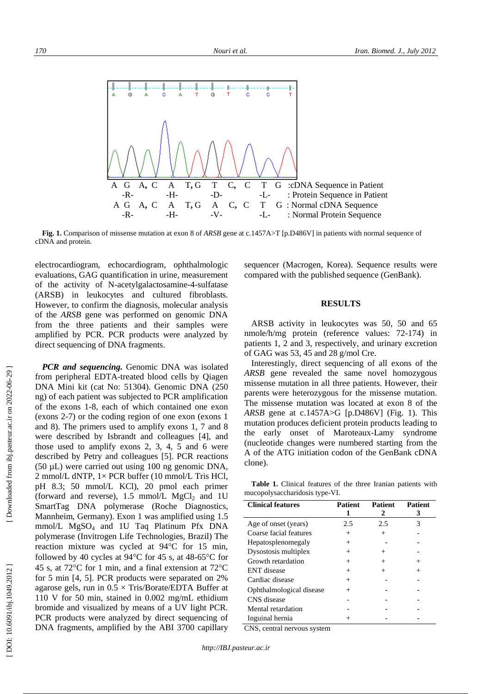

**Fig. 1.** Comparison of missense mutation at exon 8 of *ARSB* gene at c.1457A>T [p.D486V] in patients with normal sequence of cDNA and protein.

electrocardiogram, echocardiogram, ophthalmologic evaluations, GAG quantification in urine, measurement of the activity of N-acetylgalactosamine-4-sulfatase (ARSB) in leukocytes and cultured fibroblasts. However, to confirm the diagnosis, molecular analysis of the *ARSB* gene was performed on genomic DNA from the three patients and their samples were amplified by PCR. PCR products were analyzed by direct sequencing of DNA fragments.

*PCR and sequencing.* Genomic DNA was isolated from peripheral EDTA-treated blood cells by Qiagen DNA Mini kit (cat No: 51304). Genomic DNA (250 ng) of each patient was subjected to PCR amplification of the exons 1-8, each of which contained one exon (exons 2-7) or the coding region of one exon (exons 1 and 8). The primers used to amplify exons 1, 7 and 8 were described by Isbrandt and colleagues [4], and those used to amplify exons 2, 3, 4, 5 and 6 were described by Petry and colleagues [5]. PCR reactions (50 µL) were carried out using 100 ng genomic DNA, 2 mmol/L dNTP, 1× PCR buffer (10 mmol/L Tris HCl, pH 8.3; 50 mmol/L KCl), 20 pmol each primer (forward and reverse),  $1.5 \text{ mmol/L } MgCl_2$  and  $1U$ SmartTag DNA polymerase (Roche Diagnostics, Mannheim, Germany). Exon 1 was amplified using 1.5 mmol/L MgSO <sup>4</sup> and 1U Taq Platinum Pfx DNA polymerase (Invitrogen Life Technologies, Brazil) The reaction mixture was cycled at 94 C for 15 min, followed by 40 cycles at  $94^{\circ}$ C for 45 s, at 48-65 $^{\circ}$ C for 45 s, at 72 C for 1 min, and a final extension at 72 C for 5 min [4, 5]. PCR products were separated on 2% agarose gels, run in  $0.5 \times$  Tris/Borate/EDTA Buffer at 110 V for 50 min, stained in 0.002 mg/mL ethidium bromide and visualized by means of a UV light PCR. PCR products were analyzed by direct sequencing of DNA fragments, amplified by the ABI 3700 capillary

sequencer (Macrogen, Korea). Sequence results were compared with the published sequence (GenBank).

#### **RESULTS**

ARSB activity in leukocytes was 50, 50 and 65 nmole/h/mg protein (reference values: 72-174) in patients 1, 2 and 3, respectively, and urinary excretion of GAG was 53, 45 and 28 g/mol Cre.

Interestingly, direct sequencing of all exons of the *ARSB* gene revealed the same novel homozygous missense mutation in all three patients. However, their parents were heterozygous for the missense mutation. The missense mutation was located at exon 8 of the *ARSB* gene at  $c.1457A > G$  [p.D486V] (Fig. 1). This mutation produces deficient protein products leading to the early onset of Maroteaux-Lamy syndrome (nucleotide changes were numbered starting from the A of the ATG initiation codon of the GenBank cDNA clone).

**Table 1.** Clinical features of the three Iranian patients with mucopolysaccharidosis type-VI.

| <b>Clinical features</b> | Patient | <b>Patient</b><br>2 | Patient<br>3 |
|--------------------------|---------|---------------------|--------------|
| Age of onset (years)     | 2.5     | 2.5                 | 3            |
| Coarse facial features   | $^{+}$  | $\pm$               |              |
| Hepatosplenomegaly       | ┿       |                     |              |
| Dysostosis multiplex     |         |                     |              |
| Growth retardation       | ┿       |                     |              |
| <b>ENT</b> disease       | ┿       |                     |              |
| Cardiac disease          | ┿       |                     |              |
| Ophthalmological disease | $^{+}$  |                     |              |
| CNS disease              |         |                     |              |
| Mental retardation       |         |                     |              |
| Inguinal hernia          |         |                     |              |

CNS, central nervous system